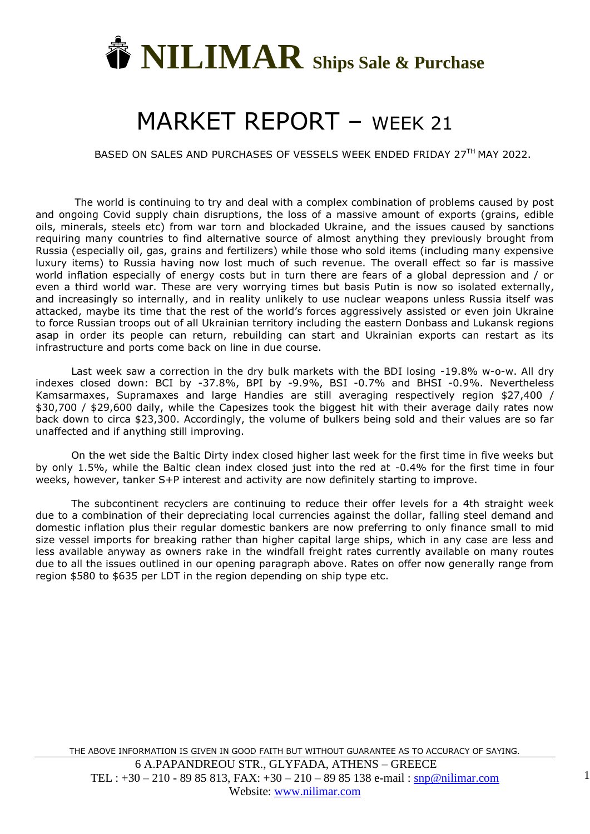

## MARKET REPORT – WEEK 21

BASED ON SALES AND PURCHASES OF VESSELS WEEK ENDED FRIDAY 27TH MAY 2022.

The world is continuing to try and deal with a complex combination of problems caused by post and ongoing Covid supply chain disruptions, the loss of a massive amount of exports (grains, edible oils, minerals, steels etc) from war torn and blockaded Ukraine, and the issues caused by sanctions requiring many countries to find alternative source of almost anything they previously brought from Russia (especially oil, gas, grains and fertilizers) while those who sold items (including many expensive luxury items) to Russia having now lost much of such revenue. The overall effect so far is massive world inflation especially of energy costs but in turn there are fears of a global depression and / or even a third world war. These are very worrying times but basis Putin is now so isolated externally, and increasingly so internally, and in reality unlikely to use nuclear weapons unless Russia itself was attacked, maybe its time that the rest of the world's forces aggressively assisted or even join Ukraine to force Russian troops out of all Ukrainian territory including the eastern Donbass and Lukansk regions asap in order its people can return, rebuilding can start and Ukrainian exports can restart as its infrastructure and ports come back on line in due course.

Last week saw a correction in the dry bulk markets with the BDI losing -19.8% w-o-w. All dry indexes closed down: BCI by -37.8%, BPI by -9.9%, BSI -0.7% and BHSI -0.9%. Nevertheless Kamsarmaxes, Supramaxes and large Handies are still averaging respectively region \$27,400 / \$30,700 / \$29,600 daily, while the Capesizes took the biggest hit with their average daily rates now back down to circa \$23,300. Accordingly, the volume of bulkers being sold and their values are so far unaffected and if anything still improving.

On the wet side the Baltic Dirty index closed higher last week for the first time in five weeks but by only 1.5%, while the Baltic clean index closed just into the red at -0.4% for the first time in four weeks, however, tanker S+P interest and activity are now definitely starting to improve.

The subcontinent recyclers are continuing to reduce their offer levels for a 4th straight week due to a combination of their depreciating local currencies against the dollar, falling steel demand and domestic inflation plus their regular domestic bankers are now preferring to only finance small to mid size vessel imports for breaking rather than higher capital large ships, which in any case are less and less available anyway as owners rake in the windfall freight rates currently available on many routes due to all the issues outlined in our opening paragraph above. Rates on offer now generally range from region \$580 to \$635 per LDT in the region depending on ship type etc.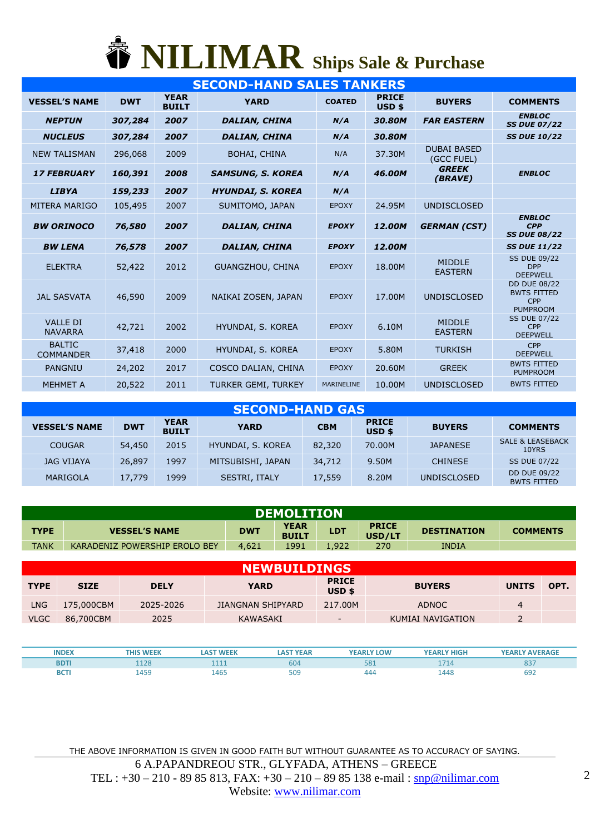## **NILIMAR Ships Sale & Purchase**

|                                   |            |                             | <b>SECOND-HAND SALES TANKERS</b> |               |                        |                                  |                                                                     |
|-----------------------------------|------------|-----------------------------|----------------------------------|---------------|------------------------|----------------------------------|---------------------------------------------------------------------|
| <b>VESSEL'S NAME</b>              | <b>DWT</b> | <b>YEAR</b><br><b>BUILT</b> | <b>YARD</b>                      | <b>COATED</b> | <b>PRICE</b><br>USD \$ | <b>BUYERS</b>                    | <b>COMMENTS</b>                                                     |
| <b>NEPTUN</b>                     | 307,284    | 2007                        | <b>DALIAN, CHINA</b>             | N/A           | 30.80M                 | <b>FAR EASTERN</b>               | <b>ENBLOC</b><br><b>SS DUE 07/22</b>                                |
| <b>NUCLEUS</b>                    | 307,284    | 2007                        | <b>DALIAN, CHINA</b>             | N/A           | 30.80M                 |                                  | <b>SS DUE 10/22</b>                                                 |
| <b>NEW TALISMAN</b>               | 296,068    | 2009                        | <b>BOHAI, CHINA</b>              | N/A           | 37.30M                 | <b>DUBAI BASED</b><br>(GCC FUEL) |                                                                     |
| <b>17 FEBRUARY</b>                | 160,391    | 2008                        | <b>SAMSUNG, S. KOREA</b>         | N/A           | 46.00M                 | <b>GREEK</b><br>(BRAVE)          | <b>ENBLOC</b>                                                       |
| <b>LIBYA</b>                      | 159,233    | 2007                        | <b>HYUNDAI, S. KOREA</b>         | N/A           |                        |                                  |                                                                     |
| <b>MITERA MARIGO</b>              | 105,495    | 2007                        | SUMITOMO, JAPAN                  | <b>EPOXY</b>  | 24.95M                 | <b>UNDISCLOSED</b>               |                                                                     |
| <b>BW ORINOCO</b>                 | 76,580     | 2007                        | <b>DALIAN, CHINA</b>             | <b>EPOXY</b>  | 12.00M                 | <b>GERMAN (CST)</b>              | <b>ENBLOC</b><br><b>CPP</b><br><b>SS DUE 08/22</b>                  |
| <b>BW LENA</b>                    | 76,578     | 2007                        | <b>DALIAN, CHINA</b>             | <b>EPOXY</b>  | 12.00M                 |                                  | <b>SS DUE 11/22</b>                                                 |
| <b>ELEKTRA</b>                    | 52,422     | 2012                        | <b>GUANGZHOU, CHINA</b>          | <b>EPOXY</b>  | 18.00M                 | <b>MIDDLE</b><br><b>EASTERN</b>  | <b>SS DUE 09/22</b><br><b>DPP</b><br><b>DEEPWELL</b>                |
| <b>JAL SASVATA</b>                | 46,590     | 2009                        | NAIKAI ZOSEN, JAPAN              | <b>EPOXY</b>  | 17.00M                 | <b>UNDISCLOSED</b>               | <b>DD DUE 08/22</b><br><b>BWTS FITTED</b><br>CPP<br><b>PUMPROOM</b> |
| <b>VALLE DI</b><br><b>NAVARRA</b> | 42,721     | 2002                        | HYUNDAI, S. KOREA                | <b>EPOXY</b>  | 6.10M                  | <b>MIDDLE</b><br><b>EASTERN</b>  | <b>SS DUE 07/22</b><br><b>CPP</b><br><b>DEEPWELL</b>                |
| <b>BALTIC</b><br><b>COMMANDER</b> | 37,418     | 2000                        | HYUNDAI, S. KOREA                | <b>EPOXY</b>  | 5.80M                  | <b>TURKISH</b>                   | CPP<br><b>DEEPWELL</b>                                              |
| <b>PANGNIU</b>                    | 24,202     | 2017                        | COSCO DALIAN, CHINA              | <b>EPOXY</b>  | 20.60M                 | <b>GREEK</b>                     | <b>BWTS FITTED</b><br><b>PUMPROOM</b>                               |
| <b>MEHMET A</b>                   | 20,522     | 2011                        | <b>TURKER GEMI, TURKEY</b>       | MARINELINE    | 10.00M                 | <b>UNDISCLOSED</b>               | <b>BWTS FITTED</b>                                                  |
|                                   |            |                             |                                  |               |                        |                                  |                                                                     |

| <b>SECOND-HAND GAS</b> |            |                             |                   |            |                        |                    |                                           |  |  |  |  |
|------------------------|------------|-----------------------------|-------------------|------------|------------------------|--------------------|-------------------------------------------|--|--|--|--|
| <b>VESSEL'S NAME</b>   | <b>DWT</b> | <b>YEAR</b><br><b>BUILT</b> | <b>YARD</b>       | <b>CBM</b> | <b>PRICE</b><br>USD \$ | <b>BUYERS</b>      | <b>COMMENTS</b>                           |  |  |  |  |
| <b>COUGAR</b>          | 54,450     | 2015                        | HYUNDAI, S. KOREA | 82,320     | 70.00M                 | <b>JAPANESE</b>    | <b>SALE &amp; LEASEBACK</b><br>10YRS      |  |  |  |  |
| <b>JAG VIJAYA</b>      | 26,897     | 1997                        | MITSUBISHI, JAPAN | 34,712     | 9.50M                  | <b>CHINESE</b>     | <b>SS DUE 07/22</b>                       |  |  |  |  |
| MARIGOLA               | 17,779     | 1999                        | SESTRI, ITALY     | 17,559     | 8.20M                  | <b>UNDISCLOSED</b> | <b>DD DUE 09/22</b><br><b>BWTS FITTED</b> |  |  |  |  |

| <b>DEMOLITION</b> |                               |            |                             |            |                        |                    |                 |  |  |  |  |
|-------------------|-------------------------------|------------|-----------------------------|------------|------------------------|--------------------|-----------------|--|--|--|--|
| <b>TYPE</b>       | <b>VESSEL'S NAME</b>          | <b>DWT</b> | <b>YEAR</b><br><b>BUILT</b> | <b>LDT</b> | <b>PRICE</b><br>USD/LT | <b>DESTINATION</b> | <b>COMMENTS</b> |  |  |  |  |
| <b>TANK</b>       | KARADENIZ POWERSHIP EROLO BEY | 4,621      | 1991                        | . .922     | 270                    | <b>INDIA</b>       |                 |  |  |  |  |

|             | <b>NEWBUILDINGS</b> |             |                   |                          |                   |              |      |  |  |  |  |  |  |
|-------------|---------------------|-------------|-------------------|--------------------------|-------------------|--------------|------|--|--|--|--|--|--|
| <b>TYPE</b> | <b>SIZE</b>         | <b>DELY</b> | <b>YARD</b>       | <b>PRICE</b><br>USD \$   | <b>BUYERS</b>     | <b>UNITS</b> | OPT. |  |  |  |  |  |  |
| LNG.        | 175,000CBM          | 2025-2026   | JIANGNAN SHIPYARD | 217.00M                  | <b>ADNOC</b>      | 4            |      |  |  |  |  |  |  |
| <b>VLGC</b> | 86,700CBM           | 2025        | KAWASAKI          | $\overline{\phantom{0}}$ | KUMIAI NAVIGATION | -            |      |  |  |  |  |  |  |

| <b>INDEX</b> | $\mathbf{u}$ | <b>YEAR</b><br>. AS' | <b>YEARLY LOW</b> | <b>'EARLY HIGH</b> | <b>YEARLY AVERAGE</b> |
|--------------|--------------|----------------------|-------------------|--------------------|-----------------------|
| <b>BDTI</b>  | ----         | 604                  | 58:               |                    | 837                   |
| <b>BCTI</b>  | 1465         | 509                  | 444               | 1448               | 692                   |

THE ABOVE INFORMATION IS GIVEN IN GOOD FAITH BUT WITHOUT GUARANTEE AS TO ACCURACY OF SAYING. 6 A.PAPANDREOU STR., GLYFADA, ATHENS – GREECE TEL : +30 – 210 - 89 85 813, FAX: +30 – 210 – 89 85 138 e-mail : [snp@nilimar.com](mailto:snp@nilimar.com) Website: [www.nilimar.com](http://www.nilimar.com/)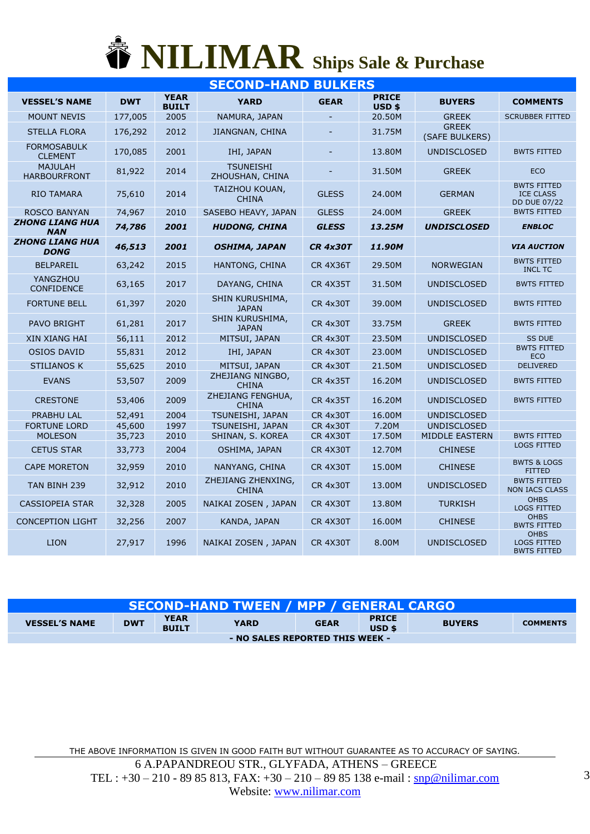## **NILIMAR Ships Sale & Purchase**

| <b>SECOND-HAND BULKERS</b>            |            |                             |                                     |                 |                                   |                                |                                                               |  |  |  |
|---------------------------------------|------------|-----------------------------|-------------------------------------|-----------------|-----------------------------------|--------------------------------|---------------------------------------------------------------|--|--|--|
| <b>VESSEL'S NAME</b>                  | <b>DWT</b> | <b>YEAR</b><br><b>BUILT</b> | <b>YARD</b>                         | <b>GEAR</b>     | <b>PRICE</b><br>USD <sub>\$</sub> | <b>BUYERS</b>                  | <b>COMMENTS</b>                                               |  |  |  |
| <b>MOUNT NEVIS</b>                    | 177,005    | 2005                        | NAMURA, JAPAN                       |                 | 20.50M                            | <b>GREEK</b>                   | <b>SCRUBBER FITTED</b>                                        |  |  |  |
| <b>STELLA FLORA</b>                   | 176,292    | 2012                        | JIANGNAN, CHINA                     |                 | 31.75M                            | <b>GREEK</b><br>(SAFE BULKERS) |                                                               |  |  |  |
| <b>FORMOSABULK</b><br><b>CLEMENT</b>  | 170,085    | 2001                        | IHI, JAPAN                          |                 | 13.80M                            | <b>UNDISCLOSED</b>             | <b>BWTS FITTED</b>                                            |  |  |  |
| <b>MAJULAH</b><br><b>HARBOURFRONT</b> | 81,922     | 2014                        | <b>TSUNEISHI</b><br>ZHOUSHAN, CHINA |                 | 31.50M                            | <b>GREEK</b>                   | <b>ECO</b>                                                    |  |  |  |
| <b>RIO TAMARA</b>                     | 75,610     | 2014                        | TAIZHOU KOUAN,<br><b>CHINA</b>      | <b>GLESS</b>    | 24.00M                            | <b>GERMAN</b>                  | <b>BWTS FITTED</b><br><b>ICE CLASS</b><br><b>DD DUE 07/22</b> |  |  |  |
| <b>ROSCO BANYAN</b>                   | 74,967     | 2010                        | SASEBO HEAVY, JAPAN                 | <b>GLESS</b>    | 24.00M                            | <b>GREEK</b>                   | <b>BWTS FITTED</b>                                            |  |  |  |
| <b>ZHONG LIANG HUA</b><br><b>NAN</b>  | 74,786     | 2001                        | <b>HUDONG, CHINA</b>                | <b>GLESS</b>    | 13.25M                            | <b>UNDISCLOSED</b>             | <b>ENBLOC</b>                                                 |  |  |  |
| <b>ZHONG LIANG HUA</b><br><b>DONG</b> | 46,513     | 2001                        | <b>OSHIMA, JAPAN</b>                | <b>CR 4x30T</b> | 11.90M                            |                                | <b>VIA AUCTION</b>                                            |  |  |  |
| <b>BELPAREIL</b>                      | 63,242     | 2015                        | HANTONG, CHINA                      | <b>CR 4X36T</b> | 29.50M                            | <b>NORWEGIAN</b>               | <b>BWTS FITTED</b><br><b>INCL TC</b>                          |  |  |  |
| YANGZHOU<br><b>CONFIDENCE</b>         | 63,165     | 2017                        | DAYANG, CHINA                       | <b>CR 4X35T</b> | 31.50M                            | <b>UNDISCLOSED</b>             | <b>BWTS FITTED</b>                                            |  |  |  |
| <b>FORTUNE BELL</b>                   | 61,397     | 2020                        | SHIN KURUSHIMA,<br><b>JAPAN</b>     | <b>CR 4x30T</b> | 39.00M                            | <b>UNDISCLOSED</b>             | <b>BWTS FITTED</b>                                            |  |  |  |
| <b>PAVO BRIGHT</b>                    | 61,281     | 2017                        | SHIN KURUSHIMA,<br><b>JAPAN</b>     | <b>CR 4x30T</b> | 33.75M                            | <b>GREEK</b>                   | <b>BWTS FITTED</b>                                            |  |  |  |
| <b>XIN XIANG HAI</b>                  | 56,111     | 2012                        | MITSUI, JAPAN                       | <b>CR 4x30T</b> | 23.50M                            | <b>UNDISCLOSED</b>             | <b>SS DUE</b>                                                 |  |  |  |
| <b>OSIOS DAVID</b>                    | 55,831     | 2012                        | IHI, JAPAN                          | <b>CR 4x30T</b> | 23.00M                            | <b>UNDISCLOSED</b>             | <b>BWTS FITTED</b><br><b>ECO</b>                              |  |  |  |
| <b>STILIANOS K</b>                    | 55,625     | 2010                        | MITSUI, JAPAN                       | <b>CR 4x30T</b> | 21.50M                            | <b>UNDISCLOSED</b>             | <b>DELIVERED</b>                                              |  |  |  |
| <b>EVANS</b>                          | 53,507     | 2009                        | ZHEJIANG NINGBO,<br><b>CHINA</b>    | <b>CR 4x35T</b> | 16.20M                            | <b>UNDISCLOSED</b>             | <b>BWTS FITTED</b>                                            |  |  |  |
| <b>CRESTONE</b>                       | 53,406     | 2009                        | ZHEJIANG FENGHUA,<br><b>CHINA</b>   | <b>CR 4x35T</b> | 16.20M                            | <b>UNDISCLOSED</b>             | <b>BWTS FITTED</b>                                            |  |  |  |
| <b>PRABHU LAL</b>                     | 52,491     | 2004                        | TSUNEISHI, JAPAN                    | <b>CR 4x30T</b> | 16.00M                            | <b>UNDISCLOSED</b>             |                                                               |  |  |  |
| <b>FORTUNE LORD</b>                   | 45,600     | 1997                        | TSUNEISHI, JAPAN                    | <b>CR 4x30T</b> | 7.20M                             | <b>UNDISCLOSED</b>             |                                                               |  |  |  |
| <b>MOLESON</b>                        | 35,723     | 2010                        | SHINAN, S. KOREA                    | <b>CR 4X30T</b> | 17.50M                            | MIDDLE EASTERN                 | <b>BWTS FITTED</b><br><b>LOGS FITTED</b>                      |  |  |  |
| <b>CETUS STAR</b>                     | 33,773     | 2004                        | OSHIMA, JAPAN                       | <b>CR 4X30T</b> | 12.70M                            | <b>CHINESE</b>                 |                                                               |  |  |  |
| <b>CAPE MORETON</b>                   | 32,959     | 2010                        | NANYANG, CHINA                      | <b>CR 4X30T</b> | 15.00M                            | <b>CHINESE</b>                 | <b>BWTS &amp; LOGS</b><br><b>FITTED</b>                       |  |  |  |
| TAN BINH 239                          | 32,912     | 2010                        | ZHEJIANG ZHENXING,<br><b>CHINA</b>  | <b>CR 4x30T</b> | 13.00M                            | <b>UNDISCLOSED</b>             | <b>BWTS FITTED</b><br><b>NON IACS CLASS</b>                   |  |  |  |
| <b>CASSIOPEIA STAR</b>                | 32,328     | 2005                        | NAIKAI ZOSEN, JAPAN                 | <b>CR 4X30T</b> | 13.80M                            | <b>TURKISH</b>                 | <b>OHBS</b><br><b>LOGS FITTED</b><br><b>OHBS</b>              |  |  |  |
| <b>CONCEPTION LIGHT</b>               | 32,256     | 2007                        | KANDA, JAPAN                        | <b>CR 4X30T</b> | 16.00M                            | <b>CHINESE</b>                 | <b>BWTS FITTED</b><br><b>OHBS</b>                             |  |  |  |
| <b>LION</b>                           | 27,917     | 1996                        | NAIKAI ZOSEN, JAPAN                 | <b>CR 4X30T</b> | 8.00M                             | <b>UNDISCLOSED</b>             | <b>LOGS FITTED</b><br><b>BWTS FITTED</b>                      |  |  |  |

| <b>SECOND-HAND TWEEN / MPP / GENERAL CARGO  </b> |            |                             |             |             |                                   |               |                 |  |  |  |
|--------------------------------------------------|------------|-----------------------------|-------------|-------------|-----------------------------------|---------------|-----------------|--|--|--|
| <b>VESSEL'S NAME</b>                             | <b>DWT</b> | <b>YEAR</b><br><b>BUILT</b> | <b>YARD</b> | <b>GEAR</b> | <b>PRICE</b><br>USD <sub>\$</sub> | <b>BUYERS</b> | <b>COMMENTS</b> |  |  |  |
| - NO SALES REPORTED THIS WEEK -                  |            |                             |             |             |                                   |               |                 |  |  |  |

THE ABOVE INFORMATION IS GIVEN IN GOOD FAITH BUT WITHOUT GUARANTEE AS TO ACCURACY OF SAYING. 6 A.PAPANDREOU STR., GLYFADA, ATHENS – GREECE TEL :  $+30 - 210 - 8985813$ , FAX:  $+30 - 210 - 8985138$  e-mail : [snp@nilimar.com](mailto:snp@nilimar.com) Website: [www.nilimar.com](http://www.nilimar.com/)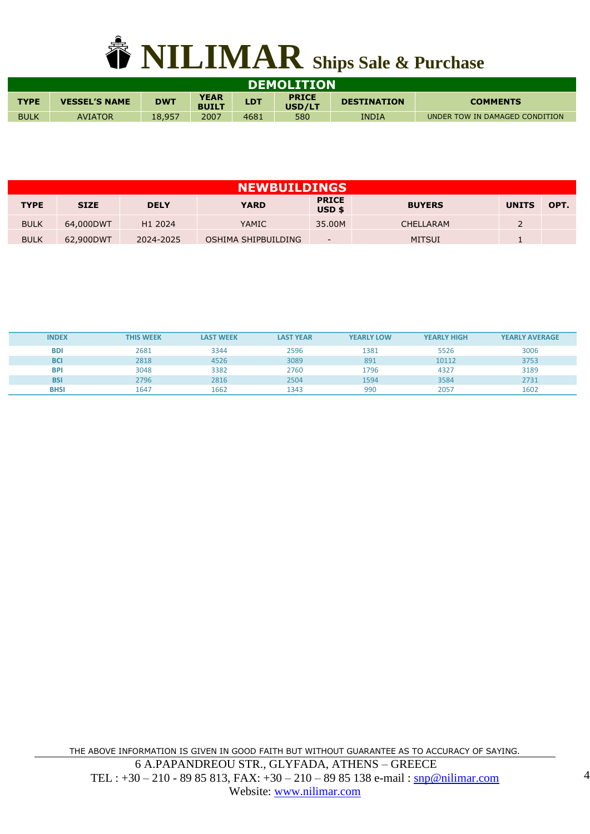

| <b>DEMOLITION</b>                                                                                                                                                 |                |        |      |      |     |       |                                |  |  |  |
|-------------------------------------------------------------------------------------------------------------------------------------------------------------------|----------------|--------|------|------|-----|-------|--------------------------------|--|--|--|
| <b>YEAR</b><br><b>PRICE</b><br><b>LDT</b><br><b>TYPE</b><br><b>DWT</b><br><b>VESSEL'S NAME</b><br><b>DESTINATION</b><br><b>COMMENTS</b><br>USD/LT<br><b>BUILT</b> |                |        |      |      |     |       |                                |  |  |  |
| <b>BULK</b>                                                                                                                                                       | <b>AVIATOR</b> | 18,957 | 2007 | 4681 | 580 | INDIA | UNDER TOW IN DAMAGED CONDITION |  |  |  |

|             | <b>NEWBUILDINGS</b> |             |                     |                                   |               |              |      |  |  |  |  |  |  |
|-------------|---------------------|-------------|---------------------|-----------------------------------|---------------|--------------|------|--|--|--|--|--|--|
| <b>TYPE</b> | <b>SIZE</b>         | <b>DELY</b> | <b>YARD</b>         | <b>PRICE</b><br>USD <sub>\$</sub> | <b>BUYERS</b> | <b>UNITS</b> | OPT. |  |  |  |  |  |  |
| <b>BULK</b> | 64,000DWT           | H1 2024     | <b>YAMIC</b>        | 35.00M                            | CHELLARAM     |              |      |  |  |  |  |  |  |
| <b>BULK</b> | 62,900DWT           | 2024-2025   | OSHIMA SHIPBUILDING | ۰.                                | <b>MITSUI</b> |              |      |  |  |  |  |  |  |

| <b>INDEX</b> | <b>THIS WEEK</b> | <b>LAST WEEK</b> | <b>LAST YEAR</b> | <b>YEARLY LOW</b> | <b>YEARLY HIGH</b> | <b>YEARLY AVERAGE</b> |
|--------------|------------------|------------------|------------------|-------------------|--------------------|-----------------------|
| <b>BDI</b>   | 2681             | 3344             | 2596             | 1381              | 5526               | 3006                  |
| <b>BCI</b>   | 2818             | 4526             | 3089             | 891               | 10112              | 3753                  |
| <b>BPI</b>   | 3048             | 3382             | 2760             | 1796              | 4327               | 3189                  |
| <b>BSI</b>   | 2796             | 2816             | 2504             | 1594              | 3584               | 2731                  |
| <b>BHSI</b>  | 1647             | 1662             | 1343             | 990               | 2057               | 1602                  |